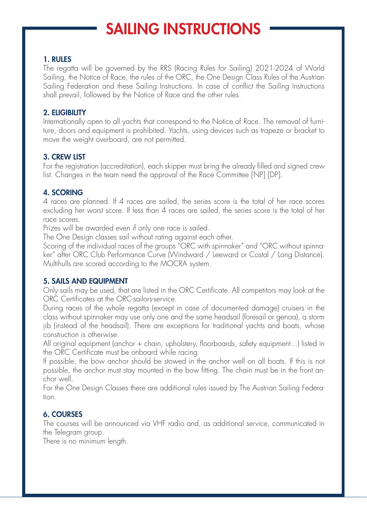### 1. RULES

The regatta will be governed by the RRS (Racing Rules for Sailing) 2021-2024 of World Sailing, the Notice of Race, the rules of the ORC, the One Design Class Rules of the Austrian Sailing Federation and these Sailing Instructions. In case of conflict the Sailing Instructions shall prevail, followed by the Notice of Race and the other rules.

## 2. ELIGIBILITY

Internationally open to all yachts that correspond to the Notice of Race. The removal of furniture, doors and equipment is prohibited. Yachts, using devices such as trapeze or bracket to move the weight overboard, are not permitted.

## 3. CREW LIST

For the registration (accreditation), each skipper must bring the already filled and signed crew list. Changes in the team need the approval of the Race Committee [NP] [DP].

# 4. SCORING

4 races are planned. If 4 races are sailed, the series score is the total of her race scores excluding her worst score. If less than 4 races are sailed, the series score is the total of her race scores.

Prizes will be awarded even if only one race is sailed.

The One Design classes sail without rating against each other.

Scoring of the individual races of the groups "ORC with spinnaker" and "ORC without spinnaker" after ORC Club Performance Curve (Windward / Leeward or Costal / Long Distance). Multihulls are scored according to the MOCRA system.

# 5. SAILS AND EQUIPMENT

Only sails may be used, that are listed in the ORC Certificate. All competitors may look at the ORC Certificates at the ORC-sailors-service.

During races of the whole regatta (except in case of documented damage) cruisers in the class without spinnaker may use only one and the same headsail (foresail or genoa), a storm jib (instead of the headsail). There are exceptions for traditional yachts and boats, whose construction is otherwise.

All original equipment (anchor + chain, upholstery, floorboards, safety equipment...) listed in the ORC Certificate must be onboard while racing.

If possible, the bow anchor should be stowed in the anchor well on all boats. If this is not possible, the anchor must stay mounted in the bow fitting. The chain must be in the front anchor well.

For the One Design Classes there are additional rules issued by The Austrian Sailing Federation.

# 6. COURSES

The courses will be announced via VHF radio and, as additional service, communicated in the Telegram group.

There is no minimum length.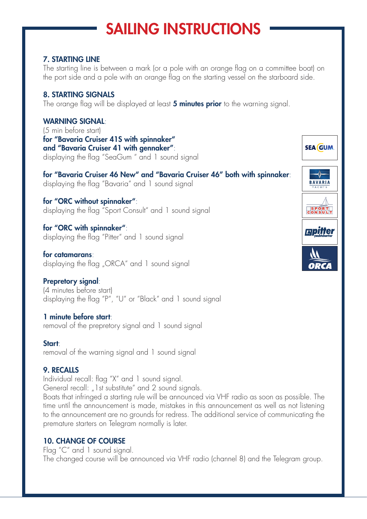### 7. STARTING LINE

The starting line is between a mark (or a pole with an orange flag on a committee boat) on the port side and a pole with an orange flag on the starting vessel on the starboard side.

# 8. STARTING SIGNALS

The orange flag will be displayed at least 5 minutes prior to the warning signal.

# WARNING SIGNAL:

(5 min before start) for "Bavaria Cruiser 41S with spinnaker" and "Bavaria Cruiser 41 with gennaker": displaying the flag "SeaGum " and 1 sound signal

for "Bavaria Cruiser 46 New" and "Bavaria Cruiser 46" both with spinnaker: displaying the flag "Bavaria" and 1 sound signal

for "ORC without spinnaker": displaying the flag "Sport Consult" and 1 sound signal

for "ORC with spinnaker": displaying the flag "Pitter" and 1 sound signal

for catamarans: displaying the flag "ORCA" and 1 sound signal

# Prepretory signal:

(4 minutes before start) displaying the flag "P", "U" or "Black" and 1 sound signal

#### 1 minute before start:

removal of the prepretory signal and 1 sound signal

#### Start:

removal of the warning signal and 1 sound signal

#### 9. RECALLS

Individual recall: flag "X" and 1 sound signal. General recall: "I st substitute" and 2 sound signals.

Boats that infringed a starting rule will be announced via VHF radio as soon as possible. The time until the announcement is made, mistakes in this announcement as well as not listening to the announcement are no grounds for redress. The additional service of communicating the premature starters on Telegram normally is later.

# 10. CHANGE OF COURSE

Flag "C" and 1 sound signal. The changed course will be announced via VHF radio (channel 8) and the Telegram group.

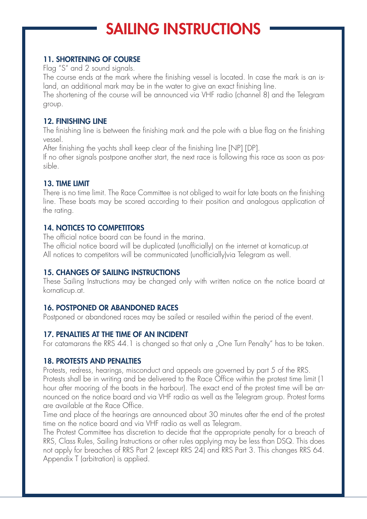## 11. SHORTENING OF COURSE

Flag "S" and 2 sound signals.

The course ends at the mark where the finishing vessel is located. In case the mark is an island, an additional mark may be in the water to give an exact finishing line.

The shortening of the course will be announced via VHF radio (channel 8) and the Telegram group.

### 12. FINISHING LINE

The finishing line is between the finishing mark and the pole with a blue flag on the finishing vessel.

After finishing the yachts shall keep clear of the finishing line [NP] [DP].

If no other signals postpone another start, the next race is following this race as soon as possible.

## 13. TIME LIMIT

There is no time limit. The Race Committee is not obliged to wait for late boats on the finishing line. These boats may be scored according to their position and analogous application of the rating.

# 14. NOTICES TO COMPETITORS

The official notice board can be found in the marina.

The official notice board will be duplicated (unofficially) on the internet at kornaticup.at All notices to competitors will be communicated (unofficially)via Telegram as well.

# 15. CHANGES OF SAILING INSTRUCTIONS

These Sailing Instructions may be changed only with written notice on the notice board at kornaticup.at.

# 16. POSTPONED OR ABANDONED RACES

Postponed or abandoned races may be sailed or resailed within the period of the event.

# 17. PENALTIES AT THE TIME OF AN INCIDENT

For catamarans the RRS 44.1 is changed so that only a "One Turn Penalty" has to be taken.

#### 18. PROTESTS AND PENALTIES

Protests, redress, hearings, misconduct and appeals are governed by part 5 of the RRS. Protests shall be in writing and be delivered to the Race Office within the protest time limit (1 hour after mooring of the boats in the harbour). The exact end of the protest time will be announced on the notice board and via VHF radio as well as the Telegram group. Protest forms are available at the Race Office.

Time and place of the hearings are announced about 30 minutes after the end of the protest time on the notice board and via VHF radio as well as Telegram.

The Protest Committee has discretion to decide that the appropriate penalty for a breach of RRS, Class Rules, Sailing Instructions or other rules applying may be less than DSQ. This does not apply for breaches of RRS Part 2 (except RRS 24) and RRS Part 3. This changes RRS 64. Appendix T (arbitration) is applied.